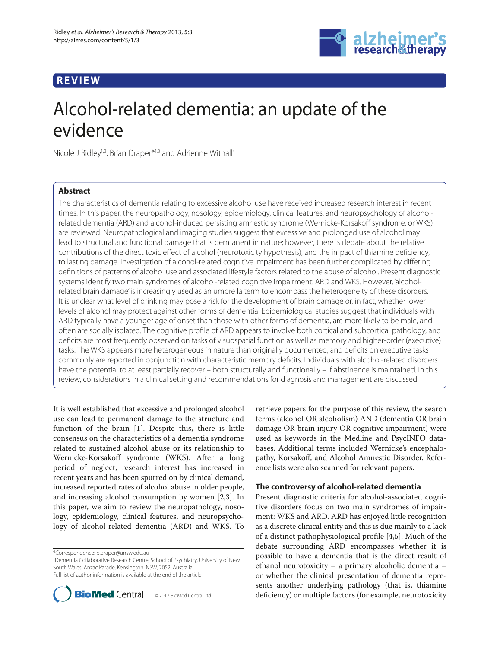# **REVIEW**



# Alcohol-related dementia: an update of the evidence

Nicole J Ridley<sup>1,2</sup>, Brian Draper<sup>\*1,3</sup> and Adrienne Withall<sup>4</sup>

# **Abstract**

The characteristics of dementia relating to excessive alcohol use have received increased research interest in recent times. In this paper, the neuropathology, nosology, epidemiology, clinical features, and neuropsychology of alcoholrelated dementia (ARD) and alcohol-induced persisting amnestic syndrome (Wernicke-Korsakoff syndrome, or WKS) are reviewed. Neuropathological and imaging studies suggest that excessive and prolonged use of alcohol may lead to structural and functional damage that is permanent in nature; however, there is debate about the relative contributions of the direct toxic effect of alcohol (neurotoxicity hypothesis), and the impact of thiamine deficiency, to lasting damage. Investigation of alcohol-related cognitive impairment has been further complicated by differing definitions of patterns of alcohol use and associated lifestyle factors related to the abuse of alcohol. Present diagnostic systems identify two main syndromes of alcohol-related cognitive impairment: ARD and WKS. However, 'alcoholrelated brain damage' is increasingly used as an umbrella term to encompass the heterogeneity of these disorders. It is unclear what level of drinking may pose a risk for the development of brain damage or, in fact, whether lower levels of alcohol may protect against other forms of dementia. Epidemiological studies suggest that individuals with ARD typically have a younger age of onset than those with other forms of dementia, are more likely to be male, and often are socially isolated. The cognitive profile of ARD appears to involve both cortical and subcortical pathology, and deficits are most frequently observed on tasks of visuospatial function as well as memory and higher-order (executive) tasks. The WKS appears more heterogeneous in nature than originally documented, and deficits on executive tasks commonly are reported in conjunction with characteristic memory deficits. Individuals with alcohol-related disorders have the potential to at least partially recover – both structurally and functionally – if abstinence is maintained. In this review, considerations in a clinical setting and recommendations for diagnosis and management are discussed.

It is well established that excessive and prolonged alcohol use can lead to permanent damage to the structure and function of the brain [1]. Despite this, there is little consensus on the characteristics of a dementia syndrome related to sustained alcohol abuse or its relationship to Wernicke-Korsakoff syndrome (WKS). After a long period of neglect, research interest has increased in recent years and has been spurred on by clinical demand, increased reported rates of alcohol abuse in older people, and increasing alcohol consumption by women [2,3]. In this paper, we aim to review the neuropathology, nosology, epidemiology, clinical features, and neuropsychology of alcohol-related dementia (ARD) and WKS. To

\*Correspondence: b.draper@unsw.edu.au

1 Dementia Collaborative Research Centre, School of Psychiatry, University of New South Wales, Anzac Parade, Kensington, NSW, 2052, Australia Full list of author information is available at the end of the article



retrieve papers for the purpose of this review, the search terms (alcohol OR alcoholism) AND (dementia OR brain damage OR brain injury OR cognitive impairment) were used as keywords in the Medline and PsycINFO databases. Additional terms included Wernicke's encephalopathy, Korsakoff, and Alcohol Amnestic Disorder. Reference lists were also scanned for relevant papers.

### **The controversy of alcohol-related dementia**

Present diagnostic criteria for alcohol-associated cognitive disorders focus on two main syndromes of impairment: WKS and ARD. ARD has enjoyed little recognition as a discrete clinical entity and this is due mainly to a lack of a distinct pathophysiological profile  $[4,5]$ . Much of the debate surrounding ARD encompasses whether it is possible to have a dementia that is the direct result of ethanol neurotoxicity – a primary alcoholic dementia – or whether the clinical presentation of dementia represents another underlying pathology (that is, thiamine deficiency) or multiple factors (for example, neurotoxicity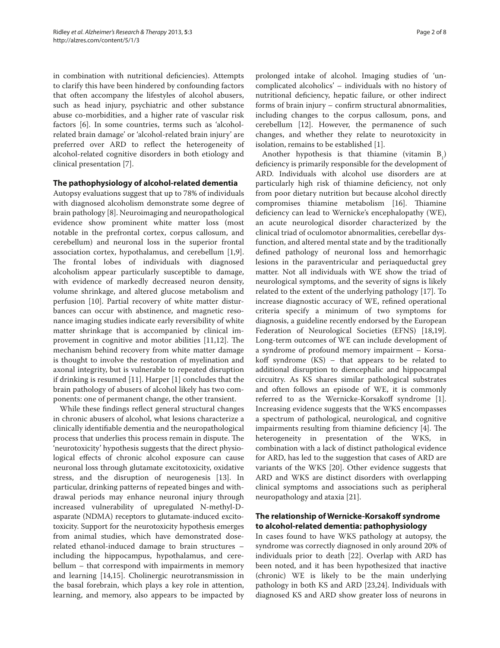in combination with nutritional deficiencies). Attempts to clarify this have been hindered by confounding factors that often accompany the lifestyles of alcohol abusers, such as head injury, psychiatric and other substance abuse co-morbidities, and a higher rate of vascular risk factors [6]. In some countries, terms such as 'alcoholrelated brain damage' or 'alcohol-related brain injury' are preferred over ARD to reflect the heterogeneity of alcohol-related cognitive disorders in both etiology and clinical presentation [7].

### **The pathophysiology of alcohol-related dementia**

Autopsy evaluations suggest that up to 78% of individuals with diagnosed alcoholism demonstrate some degree of brain pathology [8]. Neuroimaging and neuropathological evidence show prominent white matter loss (most notable in the prefrontal cortex, corpus callosum, and cerebellum) and neuronal loss in the superior frontal association cortex, hypothalamus, and cerebellum [1,9]. The frontal lobes of individuals with diagnosed alcoholism appear particularly susceptible to damage, with evidence of markedly decreased neuron density, volume shrinkage, and altered glucose metabolism and perfusion [10]. Partial recovery of white matter disturbances can occur with abstinence, and magnetic resonance imaging studies indicate early reversibility of white matter shrinkage that is accompanied by clinical improvement in cognitive and motor abilities  $[11,12]$ . The mechanism behind recovery from white matter damage is thought to involve the restoration of myelination and axonal integrity, but is vulnerable to repeated disruption if drinking is resumed [11]. Harper [1] concludes that the brain pathology of abusers of alcohol likely has two components: one of permanent change, the other transient.

While these findings reflect general structural changes in chronic abusers of alcohol, what lesions characterize a clinically identifiable dementia and the neuropathological process that underlies this process remain in dispute. The 'neurotoxicity' hypothesis suggests that the direct physiological effects of chronic alcohol exposure can cause neuronal loss through glutamate excitotoxicity, oxidative stress, and the disruption of neurogenesis [13]. In particular, drinking patterns of repeated binges and withdrawal periods may enhance neuronal injury through increased vulnerability of upregulated N-methyl-Dasparate (NDMA) receptors to glutamate-induced excitotoxicity. Support for the neurotoxicity hypothesis emerges from animal studies, which have demonstrated doserelated ethanol-induced damage to brain structures including the hippocampus, hypothalamus, and cerebellum – that correspond with impairments in memory and learning [14,15]. Cholinergic neurotrans mission in the basal forebrain, which plays a key role in attention, learning, and memory, also appears to be impacted by prolonged intake of alcohol. Imaging studies of 'uncomplicated alcoholics' – individuals with no history of nutritional deficiency, hepatic failure, or other indirect forms of brain injury  $-$  confirm structural abnormalities, including changes to the corpus callosum, pons, and cerebellum [12]. However, the permanence of such changes, and whether they relate to neurotoxicity in isolation, remains to be established [1].

Another hypothesis is that thiamine (vitamin  $B_1$ ) deficiency is primarily responsible for the development of ARD. Individuals with alcohol use disorders are at particularly high risk of thiamine deficiency, not only from poor dietary nutrition but because alcohol directly compromises thiamine metabolism [16]. Thiamine deficiency can lead to Wernicke's encephalopathy (WE), an acute neurological disorder characterized by the clinical triad of oculomotor abnormalities, cerebellar dysfunction, and altered mental state and by the traditionally defined pathology of neuronal loss and hemorrhagic lesions in the paraventricular and periaqueductal grey matter. Not all individuals with WE show the triad of neurological symptoms, and the severity of signs is likely related to the extent of the underlying pathology [17]. To increase diagnostic accuracy of WE, refined operational criteria specify a minimum of two symptoms for diagnosis, a guideline recently endorsed by the European Federation of Neurological Societies (EFNS) [18,19]. Long-term outcomes of WE can include development of a syndrome of profound memory impairment – Korsakoff syndrome  $(KS)$  – that appears to be related to additional disruption to diencephalic and hippocampal circuitry. As KS shares similar pathological substrates and often follows an episode of WE, it is commonly referred to as the Wernicke-Korsakoff syndrome [1]. Increasing evidence suggests that the WKS encompasses a spectrum of pathological, neurological, and cognitive impairments resulting from thiamine deficiency  $[4]$ . The heterogeneity in presentation of the WKS, in combination with a lack of distinct pathological evidence for ARD, has led to the suggestion that cases of ARD are variants of the WKS [20]. Other evidence suggests that ARD and WKS are distinct disorders with overlapping clinical symptoms and associations such as peripheral neuropathology and ataxia [21].

# **The relationship of Wernicke-Korsakoff syndrome to alcohol-related dementia: pathophysiology**

In cases found to have WKS pathology at autopsy, the syndrome was correctly diagnosed in only around 20% of individuals prior to death [22]. Overlap with ARD has been noted, and it has been hypothesized that inactive (chronic) WE is likely to be the main underlying pathology in both KS and ARD [23,24]. Individuals with diagnosed KS and ARD show greater loss of neurons in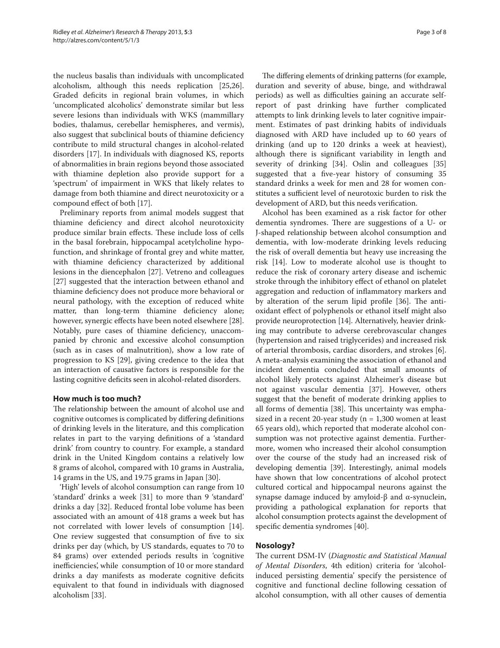the nucleus basalis than individuals with uncomplicated alcoholism, although this needs replication [25,26]. Graded deficits in regional brain volumes, in which 'uncomplicated alcoholics' demonstrate similar but less severe lesions than individuals with WKS (mammillary bodies, thalamus, cerebellar hemispheres, and vermis), also suggest that subclinical bouts of thiamine deficiency contribute to mild structural changes in alcohol-related disorders [17]. In individuals with diagnosed KS, reports of abnormalities in brain regions beyond those associated with thiamine depletion also provide support for a 'spectrum' of impairment in WKS that likely relates to damage from both thiamine and direct neurotoxicity or a compound effect of both [17].

Preliminary reports from animal models suggest that thiamine deficiency and direct alcohol neurotoxicity produce similar brain effects. These include loss of cells in the basal forebrain, hippocampal acetylcholine hypofunction, and shrinkage of frontal grey and white matter, with thiamine deficiency characterized by additional lesions in the diencephalon [27]. Vetreno and colleagues [27] suggested that the interaction between ethanol and thiamine deficiency does not produce more behavioral or neural pathology, with the exception of reduced white matter, than long-term thiamine deficiency alone; however, synergic effects have been noted elsewhere [28]. Notably, pure cases of thiamine deficiency, unaccompanied by chronic and excessive alcohol consumption (such as in cases of malnutrition), show a low rate of progression to KS [29], giving credence to the idea that an interaction of causative factors is responsible for the lasting cognitive deficits seen in alcohol-related disorders.

# **How much is too much?**

The relationship between the amount of alcohol use and cognitive outcomes is complicated by differing definitions of drinking levels in the literature, and this complication relates in part to the varying definitions of a 'standard drink' from country to country. For example, a standard drink in the United Kingdom contains a relatively low 8 grams of alcohol, compared with 10 grams in Australia, 14 grams in the US, and 19.75 grams in Japan [30].

'High' levels of alcohol consumption can range from 10 'standard' drinks a week [31] to more than 9 'standard' drinks a day [32]. Reduced frontal lobe volume has been associated with an amount of 418 grams a week but has not correlated with lower levels of consumption [14]. One review suggested that consumption of five to six drinks per day (which, by US standards, equates to 70 to 84 grams) over extended periods results in 'cognitive inefficiencies', while consumption of 10 or more standard drinks a day manifests as moderate cognitive deficits equivalent to that found in individuals with diagnosed alcoholism [33].

The differing elements of drinking patterns (for example, duration and severity of abuse, binge, and withdrawal periods) as well as difficulties gaining an accurate selfreport of past drinking have further complicated attempts to link drinking levels to later cognitive impairment. Estimates of past drinking habits of individuals diagnosed with ARD have included up to 60 years of drinking (and up to 120 drinks a week at heaviest), although there is significant variability in length and severity of drinking [34]. Oslin and colleagues [35] suggested that a five-year history of consuming 35 standard drinks a week for men and 28 for women constitutes a sufficient level of neurotoxic burden to risk the development of ARD, but this needs verification.

Alcohol has been examined as a risk factor for other dementia syndromes. There are suggestions of a U- or J-shaped relationship between alcohol consumption and dementia, with low-moderate drinking levels reducing the risk of overall dementia but heavy use increasing the risk [14]. Low to moderate alcohol use is thought to reduce the risk of coronary artery disease and ischemic stroke through the inhibitory effect of ethanol on platelet aggregation and reduction of inflammatory markers and by alteration of the serum lipid profile [36]. The antioxidant effect of polyphenols or ethanol itself might also provide neuroprotection [14]. Alternatively, heavier drinking may contribute to adverse cerebrovascular changes (hypertension and raised triglycerides) and increased risk of arterial thrombosis, cardiac disorders, and strokes [6]. A meta-analysis examining the association of ethanol and incident dementia concluded that small amounts of alcohol likely protects against Alzheimer's disease but not against vascular dementia [37]. However, others suggest that the benefit of moderate drinking applies to all forms of dementia [38]. This uncertainty was emphasized in a recent 20-year study ( $n = 1,300$  women at least 65 years old), which reported that moderate alcohol consumption was not protective against dementia. Furthermore, women who increased their alcohol consumption over the course of the study had an increased risk of developing dementia [39]. Interestingly, animal models have shown that low concentrations of alcohol protect cultured cortical and hippocampal neurons against the synapse damage induced by amyloid-β and α**-**synuclein, providing a pathological explanation for reports that alcohol consumption protects against the development of specific dementia syndromes [40].

# **Nosology?**

The current DSM-IV (*Diagnostic and Statistical Manual of Mental Disorders*, 4th edition) criteria for 'alcoholinduced persisting dementia' specify the persistence of cognitive and functional decline following cessation of alcohol consumption, with all other causes of dementia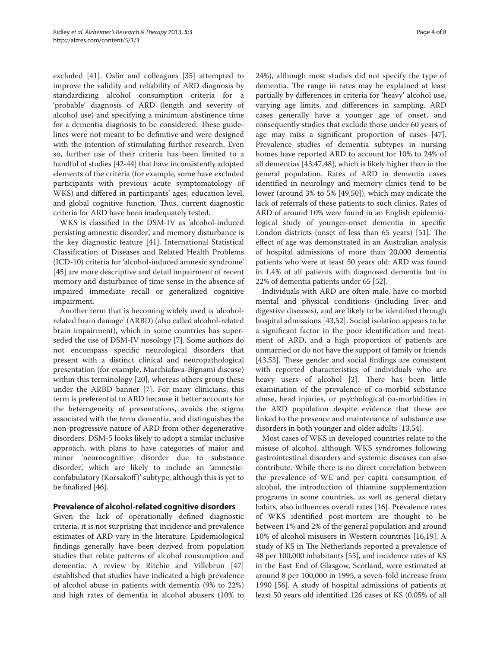excluded [41]. Oslin and colleagues [35] attempted to improve the validity and reliability of ARD diagnosis by standardizing alcohol consumption criteria for a 'probable' diagnosis of ARD (length and severity of alcohol use) and specifying a minimum abstinence time for a dementia diagnosis to be considered. These guidelines were not meant to be definitive and were designed with the intention of stimulating further research. Even so, further use of their criteria has been limited to a handful of studies [42-44] that have inconsistently adopted elements of the criteria (for example, some have excluded participants with previous acute symptomatology of WKS) and differed in participants' ages, education level, and global cognitive function. Thus, current diagnostic criteria for ARD have been inadequately tested.

WKS is classified in the DSM-IV as 'alcohol-induced persisting amnestic disorder', and memory disturbance is the key diagnostic feature [41]. International Statistical Classification of Diseases and Related Health Problems (ICD-10) criteria for 'alcohol-induced amnesic syndrome' [45] are more descriptive and detail impairment of recent memory and disturbance of time sense in the absence of impaired immediate recall or generalized cognitive impairment.

Another term that is becoming widely used is 'alcoholrelated brain damage' (ARBD) (also called alcohol-related brain impairment), which in some countries has superseded the use of DSM-IV nosology [7]. Some authors do not encompass specific neurological disorders that present with a distinct clinical and neuropathological presentation (for example, Marchiafava-Bignami disease) within this terminology [20], whereas others group these under the ARBD banner [7]. For many clinicians, this term is preferential to ARD because it better accounts for the heterogeneity of presentations, avoids the stigma associated with the term dementia, and distinguishes the non-progressive nature of ARD from other degenerative disorders. DSM-5 looks likely to adopt a similar inclusive approach, with plans to have categories of major and minor 'neurocognitive disorder due to substance disorder', which are likely to include an 'amnesticconfabulatory (Korsakoff)' subtype, although this is yet to be finalized [46].

### **Prevalence of alcohol-related cognitive disorders**

Given the lack of operationally defined diagnostic criteria, it is not surprising that incidence and prevalence estimates of ARD vary in the literature. Epidemiological findings generally have been derived from population studies that relate patterns of alcohol consumption and dementia. A review by Ritchie and Villebrun [47] established that studies have indicated a high prevalence of alcohol abuse in patients with dementia (9% to 22%) and high rates of dementia in alcohol abusers (10% to 24%), although most studies did not specify the type of dementia. The range in rates may be explained at least partially by differences in criteria for 'heavy' alcohol use, varying age limits, and differences in sampling. ARD cases generally have a younger age of onset, and consequently studies that exclude those under 60 years of age may miss a significant proportion of cases  $[47]$ . Prevalence studies of dementia subtypes in nursing homes have reported ARD to account for 10% to 24% of all dementias [43,47,48], which is likely higher than in the general population. Rates of ARD in dementia cases identified in neurology and memory clinics tend to be lower (around 3% to 5% [49,50]), which may indicate the lack of referrals of these patients to such clinics. Rates of ARD of around 10% were found in an English epidemiological study of younger-onset dementia in specific London districts (onset of less than  $65$  years) [51]. The effect of age was demonstrated in an Australian analysis of hospital admissions of more than 20,000 dementia patients who were at least 50 years old: ARD was found in 1.4% of all patients with diagnosed dementia but in 22% of dementia patients under 65 [52].

Individuals with ARD are often male, have co-morbid mental and physical conditions (including liver and digestive diseases), and are likely to be identified through hospital admissions [43,52]. Social isolation appears to be a significant factor in the poor identification and treatment of ARD, and a high proportion of patients are unmarried or do not have the support of family or friends [43,53]. These gender and social findings are consistent with reported characteristics of individuals who are heavy users of alcohol [2]. There has been little examination of the prevalence of co-morbid substance abuse, head injuries, or psychological co-morbidities in the ARD population despite evidence that these are linked to the presence and maintenance of substance use disorders in both younger and older adults [13,54].

Most cases of WKS in developed countries relate to the misuse of alcohol, although WKS syndromes following gastrointestinal disorders and systemic diseases can also contribute. While there is no direct correlation between the prevalence of WE and per capita consumption of alcohol, the introduction of thiamine supplementation programs in some countries, as well as general dietary habits, also influences overall rates [16]. Prevalence rates of WKS identified post-mortem are thought to be between 1% and 2% of the general population and around 10% of alcohol misusers in Western countries [16,19]. A study of KS in The Netherlands reported a prevalence of 48 per 100,000 inhabitants [55], and incidence rates of KS in the East End of Glasgow, Scotland, were estimated at around 8 per 100,000 in 1995, a seven-fold increase from 1990 [56]. A study of hospital admissions of patients at least 50 years old identified 126 cases of KS (0.05% of all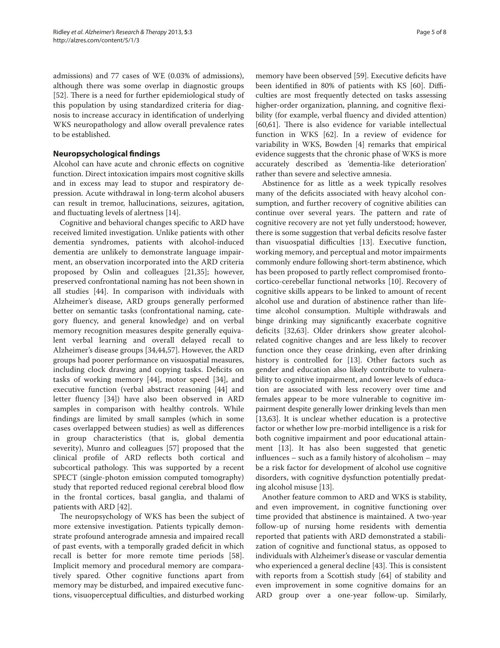admissions) and 77 cases of WE (0.03% of admissions), although there was some overlap in diagnostic groups [52]. There is a need for further epidemiological study of this population by using standardized criteria for diagnosis to increase accuracy in identification of underlying WKS neuropathology and allow overall prevalence rates to be established.

### **Neuropsychological findings**

Alcohol can have acute and chronic effects on cognitive function. Direct intoxication impairs most cognitive skills and in excess may lead to stupor and respiratory depression. Acute withdrawal in long-term alcohol abusers can result in tremor, hallucinations, seizures, agitation, and fluctuating levels of alertness [14].

Cognitive and behavioral changes specific to ARD have received limited investigation. Unlike patients with other dementia syndromes, patients with alcohol-induced dementia are unlikely to demonstrate language impairment, an observation incorporated into the ARD criteria proposed by Oslin and colleagues [21,35]; however, preserved confrontational naming has not been shown in all studies [44]. In comparison with individuals with Alzheimer's disease, ARD groups generally performed better on semantic tasks (confrontational naming, category fluency, and general knowledge) and on verbal memory recognition measures despite generally equivalent verbal learning and overall delayed recall to Alzheimer's disease groups [34,44,57]. However, the ARD groups had poorer performance on visuospatial measures, including clock drawing and copying tasks. Deficits on tasks of working memory [44], motor speed [34], and executive function (verbal abstract reasoning [44] and letter fluency [34]) have also been observed in ARD samples in comparison with healthy controls. While findings are limited by small samples (which in some cases overlapped between studies) as well as differences in group characteristics (that is, global dementia severity), Munro and colleagues [57] proposed that the clinical profile of ARD reflects both cortical and subcortical pathology. This was supported by a recent SPECT (single-photon emission computed tomography) study that reported reduced regional cerebral blood flow in the frontal cortices, basal ganglia, and thalami of patients with ARD [42].

The neuropsychology of WKS has been the subject of more extensive investigation. Patients typically demonstrate profound anterograde amnesia and impaired recall of past events, with a temporally graded deficit in which recall is better for more remote time periods [58]. Implicit memory and procedural memory are comparatively spared. Other cognitive functions apart from memory may be disturbed, and impaired executive functions, visuoperceptual difficulties, and disturbed working memory have been observed [59]. Executive deficits have been identified in 80% of patients with KS [60]. Difficulties are most frequently detected on tasks assessing higher-order organization, planning, and cognitive flexibility (for example, verbal fluency and divided attention)  $[60,61]$ . There is also evidence for variable intellectual function in WKS [62]. In a review of evidence for variability in WKS, Bowden [4] remarks that empirical evidence suggests that the chronic phase of WKS is more accurately described as 'dementia-like deterioration' rather than severe and selective amnesia.

Abstinence for as little as a week typically resolves many of the deficits associated with heavy alcohol consumption, and further recovery of cognitive abilities can continue over several years. The pattern and rate of cognitive recovery are not yet fully understood; however, there is some suggestion that verbal deficits resolve faster than visuospatial difficulties [13]. Executive function, working memory, and perceptual and motor impairments commonly endure following short-term abstinence, which has been proposed to partly reflect compromised frontocortico-cerebellar functional networks [10]. Recovery of cognitive skills appears to be linked to amount of recent alcohol use and duration of abstinence rather than lifetime alcohol consumption. Multiple withdrawals and binge drinking may significantly exacerbate cognitive deficits [32,63]. Older drinkers show greater alcoholrelated cognitive changes and are less likely to recover function once they cease drinking, even after drinking history is controlled for [13]. Other factors such as gender and education also likely contribute to vulnerability to cognitive impairment, and lower levels of education are associated with less recovery over time and females appear to be more vulnerable to cognitive impair ment despite generally lower drinking levels than men [13,63]. It is unclear whether education is a protective factor or whether low pre-morbid intelligence is a risk for both cognitive impairment and poor educational attainment [13]. It has also been suggested that genetic influences – such as a family history of alcoholism – may be a risk factor for development of alcohol use cognitive disorders, with cognitive dysfunction potentially predating alcohol misuse [13].

Another feature common to ARD and WKS is stability, and even improvement, in cognitive functioning over time provided that abstinence is maintained. A two-year follow-up of nursing home residents with dementia reported that patients with ARD demonstrated a stabilization of cognitive and functional status, as opposed to individuals with Alzheimer's disease or vascular dementia who experienced a general decline [43]. This is consistent with reports from a Scottish study [64] of stability and even improvement in some cognitive domains for an ARD group over a one-year follow-up. Similarly,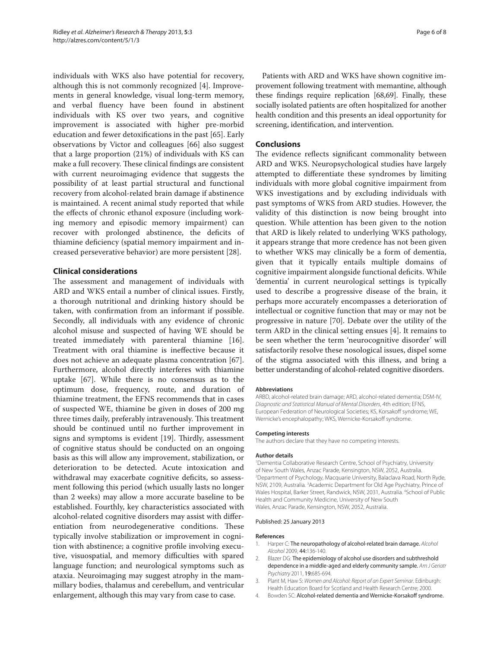individuals with WKS also have potential for recovery, although this is not commonly recognized [4]. Improvements in general knowledge, visual long-term memory, and verbal fluency have been found in abstinent individuals with KS over two years, and cognitive improvement is associated with higher pre-morbid education and fewer detoxifications in the past [65]. Early observations by Victor and colleagues [66] also suggest that a large proportion (21%) of individuals with KS can make a full recovery. These clinical findings are consistent with current neuroimaging evidence that suggests the possibility of at least partial structural and functional recovery from alcohol-related brain damage if abstinence is maintained. A recent animal study reported that while the effects of chronic ethanol exposure (including working memory and episodic memory impairment) can recover with prolonged abstinence, the deficits of thiamine deficiency (spatial memory impairment and increased perseverative behavior) are more persistent [28].

### **Clinical considerations**

The assessment and management of individuals with ARD and WKS entail a number of clinical issues. Firstly, a thorough nutritional and drinking history should be taken, with confirmation from an informant if possible. Secondly, all individuals with any evidence of chronic alcohol misuse and suspected of having WE should be treated immediately with parenteral thiamine [16]. Treatment with oral thiamine is ineffective because it does not achieve an adequate plasma concentration [67]. Furthermore, alcohol directly interferes with thiamine uptake [67]. While there is no consensus as to the optimum dose, frequency, route, and duration of thiamine treatment, the EFNS recommends that in cases of suspected WE, thiamine be given in doses of 200 mg three times daily, preferably intravenously. This treatment should be continued until no further improvement in signs and symptoms is evident [19]. Thirdly, assessment of cognitive status should be conducted on an ongoing basis as this will allow any improvement, stabilization, or deterioration to be detected. Acute intoxication and withdrawal may exacerbate cognitive deficits, so assessment following this period (which usually lasts no longer than 2 weeks) may allow a more accurate baseline to be established. Fourthly, key characteristics associated with alcohol-related cognitive disorders may assist with differentiation from neurodegenerative conditions. These typically involve stabilization or improvement in cognition with abstinence; a cognitive profile involving executive, visuo spatial, and memory difficulties with spared language function; and neurological symptoms such as ataxia. Neuroimaging may suggest atrophy in the mammillary bodies, thalamus and cerebellum, and ventricular enlargement, although this may vary from case to case.

Patients with ARD and WKS have shown cognitive improvement following treatment with memantine, although these findings require replication  $[68,69]$ . Finally, these socially isolated patients are often hospitalized for another health condition and this presents an ideal opportunity for screening, identification, and intervention.

# **Conclusions**

The evidence reflects significant commonality between ARD and WKS. Neuropsychological studies have largely attempted to differentiate these syndromes by limiting individuals with more global cognitive impairment from WKS investigations and by excluding individuals with past symptoms of WKS from ARD studies. However, the validity of this distinction is now being brought into question. While attention has been given to the notion that ARD is likely related to underlying WKS pathology, it appears strange that more credence has not been given to whether WKS may clinically be a form of dementia, given that it typically entails multiple domains of cognitive impairment alongside functional deficits. While 'dementia' in current neurological settings is typically used to describe a progressive disease of the brain, it perhaps more accurately encompasses a deterioration of intellectual or cognitive function that may or may not be progressive in nature [70]. Debate over the utility of the term ARD in the clinical setting ensues [4]. It remains to be seen whether the term 'neurocognitive disorder' will satisfactorily resolve these nosological issues, dispel some of the stigma associated with this illness, and bring a better understanding of alcohol-related cognitive disorders.

#### **Abbreviations**

ARBD, alcohol-related brain damage; ARD, alcohol-related dementia; DSM-IV, Diagnostic and Statistical Manual of Mental Disorders, 4th edition; EFNS, European Federation of Neurological Societies; KS, Korsakoff syndrome; WE, Wernicke's encephalopathy; WKS, Wernicke-Korsakoff syndrome.

#### **Competing interests**

The authors declare that they have no competing interests.

#### **Author details**

1 Dementia Collaborative Research Centre, School of Psychiatry, University of New South Wales, Anzac Parade, Kensington, NSW, 2052, Australia. 2 Department of Psychology, Macquarie University, Balaclava Road, North Ryde, NSW, 2109, Australia. 3 Academic Department for Old Age Psychiatry, Prince of Wales Hospital, Barker Street, Randwick, NSW, 2031, Australia. 4 School of Public Health and Community Medicine, University of New South Wales, Anzac Parade, Kensington, NSW, 2052, Australia.

#### Published: 25 January 2013

#### **References**

- 1. Harper C: The neuropathology of alcohol-related brain damage. Alcohol Alcohol 2009, 44:136-140.
- 2. Blazer DG: The epidemiology of alcohol use disorders and subthreshold dependence in a middle-aged and elderly community sample. Am J Geriatr Psychiatry 2011, 19:685-694.
- 3. Plant M, Haw S: Women and Alcohol: Report of an Expert Seminar. Edinburgh: Health Education Board for Scotland and Health Research Centre; 2000.
- 4. Bowden SC: Alcohol-related dementia and Wernicke-Korsakoff syndrome.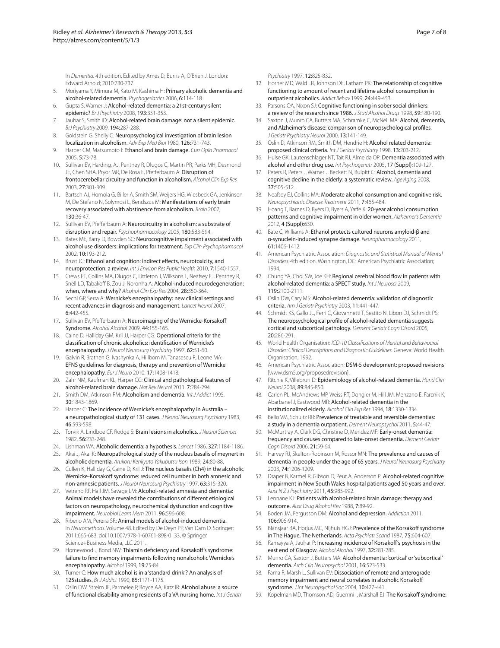In Dementia. 4th edition. Edited by Ames D, Burns A, O'Brien J. London: Edward Arnold; 2010:730-737.

- 5. Moriyama Y, Mimura M, Kato M, Kashima H: Primary alcoholic dementia and alcohol-related dementia. Psychogeriatrics 2006, 6:114-118.
- 6. Gupta S, Warner J: Alcohol-related dementia: a 21st-century silent epidemic? Br J Psychiatry 2008, 193:351-353.
- 7. Jauhar S, Smith ID: Alcohol-related brain damage: not a silent epidemic. BrJ Psychiatry 2009, 194:287-288.
- 8. Goldstein G, Shelly C: Neuropsychological investigation of brain lesion localization in alcoholism. Adv Exp Med Biol 1980, 126:731-743.
- 9. Harper CM, Matsumoto I: Ethanol and brain damage. Curr Opin Pharmacol 2005, 5:73-78.
- 10. Sullivan EV, Harding, AJ, Pentney R, Dlugos C, Martin PR, Parks MH, Desmond JE, Chen SHA, Pryor MR, De Rosa E, Pfefferbaum A: Disruption of frontocerebellar circuitry and function in alcoholism. Alcohol Clin Exp Res 2003, 27:301-309.
- 11. Bartsch AJ, Homola G, Biller A, Smith SM, Weijers HG, Wiesbeck GA, Jenkinson M, De Stefano N, Solymosi L, Bendszus M: Manifestations of early brain recovery associated with abstinence from alcoholism. Brain 2007, 130:36-47.
- 12. Sullivan EV, Pfefferbaum A: Neurocircuitry in alcoholism: a substrate of disruption and repair. Psychopharmacology 2005, 180:583-594.
- 13. Bates ME, Barry D, Bowden SC: Neurocognitive impairment associated with alcohol use disorders: implications for treatment. Exp Clin Psychopharmacol 2002, 10:193-212.
- 14. Brust JC: Ethanol and cognition: indirect effects, neurotoxicity, and neuroprotection: a review. Int J Environ Res Public Health 2010, 7:1540-1557.
- 15. Crews FT, Collins MA, Dlugos C, Littleton J, Wilksons L, Neafsey EJ, Pentney R, Snell LD, Tabakoff B, Zou J, Noronha A: Alcohol-induced neurodegeneration: when, where and why? Alcohol Clin Exp Res 2004, 28:350-364.
- 16. Sechi GP, Serra A: Wernicke's encephalopathy: new clinical settings and recent advances in diagnosis and management. Lancet Neurol 2007, 6:442-455.
- 17. Sullivan EV, Pfefferbaum A: Neuroimaging of the Wernicke-Korsakoff Syndrome. Alcohol Alcohol 2009, 44:155-165.
- 18. Caine D, Halliday GM, Kril JJ, Harper CG: Operational criteria for the classification of chronic alcoholics: identification of Wernicke's encephalopathy. J Neurol Neurosurg Psychiatry 1997, 62:51-60.
- 19. Galvin R, Brathen G, Ivashynka A, Hillbom M, Tanasescu R, Leone MA: EFNS guidelines for diagnosis, therapy and prevention of Wernicke encephalopathy. Eur J Neuro 2010, 17:1408-1418.
- 20. Zahr NM, Kaufman KL, Harper CG: Clinical and pathological features of alcohol-related brain damage. Nat Rev Neurol 2011, 7:284-294.
- 21. Smith DM, Atkinson RM: Alcoholism and dementia. Int J Addict 1995, 30:1843-1869.
- 22. Harper C: The incidence of Wernicke's encephalopathy in Australia a neuropathological study of 131 cases. J Neurol Neurosurg Psychiatry 1983, 46:593-598.
- 23. Torvik A, Lindboe CF, Rodge S: Brain lesions in alcoholics. J Neurol Sciences 1982, 56:233-248.
- 24. Lishman WA: Alcoholic dementia: a hypothesis. Lancet 1986, 327:1184-1186.
- 25. Akai J, Akai K: Neuropathological study of the nucleus basalis of meynert in alcoholic dementia. Arukoru Kenkyuto Yakubutsu Ison 1989, 24:80-88.
- 26. Cullen K, Halliday G, Caine D, Kril J: The nucleus basalis (Ch4) in the alcoholic Wernicke-Korsakoff syndrome: reduced cell number in both amnesic and non-amnesic patients. J Neurol Neurosurg Psychiatry 1997, 63:315-320.
- 27. Vetreno RP, Hall JM, Savage LM: Alcohol-related amnesia and dementia: Animal models have revealed the contributions of different etiological factors on neuropathology, neurochemical dysfunction and cognitive impairment. Neurobiol Learn Mem 2011, 96:596-608.
- 28. Riberio AM, Pereira SR: Animal models of alcohol-induced dementia. In Neuromethods. Volume 48. Edited by De Deyn PP, Van Dam D. Springer; 2011:665-683. doi:10.1007/978-1-60761-898-0\_33, © Springer Science+Business Media, LLC 2011.
- 29. Homewood J, Bond NW: Thiamin deficiency and Korsakoff's syndrome: failure to find memory impairments following nonalcoholic Wernicke's encephalopathy. Alcohol 1999, 19:75-84.
- 30. Turner C: How much alcohol is in a 'standard drink'? An analysis of 125studies. Br J Addict 1990, 85:1171-1175.
- 31. Oslin DW, Streim JE, Parmelee P, Boyce AA, Katz IR: Alcohol abuse: a source of functional disability among residents of a VA nursing home. Int J Geriatr

Psychiatry 1997, 12:825-832.

- 32. Horner MD, Waid LR, Johnson DE, Latham PK: The relationship of cognitive functioning to amount of recent and lifetime alcohol consumption in outpatient alcoholics. Addict Behav 1999, 24:449-453.
- 33. Parsons OA, Nixon SJ: Cognitive functioning in sober social drinkers: a review of the research since 1986. J Stud Alcohol Drugs 1998, 59:180-190.
- 34. Saxton J, Munro CA, Butters MA, Schramke C, McNeil MA: Alcohol, dementia, and Alzheimer's disease: comparison of neuropsychological profiles. J Geriatr Psychiatry Neurol 2000, 13:141-149.
- 35. Oslin D, Atkinson RM, Smith DM, Hendrie H: Alcohol related dementia: proposed clinical criteria. Int J Geriatr Psychiatry 1998, 13:203-212.
- Hulse GK, Lautenschlager NT, Tait RJ, Almeida OP: Dementia associated with alcohol and other drug use. Int Psychogeriatr 2005, 17 (Suppl):109-127.
- 37. Peters R, Peters J, Warner J, Beckett N, Bulpitt C: Alcohol, dementia and cognitive decline in the elderly: a systematic review. Age Aging 2008, 37:505-512.
- 38. Neafsey EJ, Collins MA: Moderate alcohol consumption and cognitive risk. Neuropsychiatric Disease Treatment 2011, 7:465-484.
- 39. Hoang T, Barnes D, Byers D, Byers A, Yaffe K: 20-year alcohol consumption patterns and cognitive impairment in older women. Alzheimer's Dementia 2012, 4 (Suppl):630.
- 40. Bate C, Williams A: Ethanol protects cultured neurons amyloid-β and α-synuclein-induced synapse damage. Neuropharmacology 2011, 61:1406-1412.
- 41. American Psychiatric Association: Diagnostic and Statistical Manual of Mental Disorders. 4th edition. Washington, DC: American Psychiatric Association; 1994.
- 42. Chung YA, Choi SW, Joe KH: Regional cerebral blood flow in patients with alcohol-related dementia: a SPECT study. Int J Neurosci 2009, 119:2100-2111.
- 43. Oslin DW, Cary MS: Alcohol-related dementia: validation of diagnostic criteria. Am J Geriatr Psychiatry 2003, 11:441-447.
- Schmidt KS, Gallo JL, Ferri C, Giovannetti T, Sestito N, Libon DJ, Schmidt PS: The neuropsychological profile of alcohol-related dementia suggests cortical and subcortical pathology. Dement Geriatr Cogn Disord 2005, 20:286-291.
- 45. World Health Organisation: ICD-10 Classifications of Mental and Behavioural Disorder: Clinical Descriptions and Diagnostic Guidelines. Geneva: World Health Organisation; 1992.
- 46. American Psychiatric Association: DSM-5 development: proposed revisions [www.dsm5.org/proposedrevision].
- 47. Ritchie K, Villebrun D: Epidemiology of alcohol-related dementia. Hand Clin Neurol 2008, 89:845-850.
- 48. Carlen PL, McAndrews MP, Weiss RT, Dongier M, Hill JM, Menzano E, Farcnik K, Abarbanel J, Eastwood MR: Alcohol-related dementia in the institutionalized elderly. Alcohol Clin Exp Res 1994, 18:1330-1334.
- 49. Bello VM, Schultz RR: Prevalence of treatable and reversible dementias: a study in a dementia outpatient. Dement Neuropsychol 2011, 5:44-47.
- 50. McMurtray A, Clark DG, Christine D, Mendez MF: Early-onset dementia: frequency and causes compared to late-onset dementia. Dement Geriatr Cogn Disord 2006, 21:59-64.
- 51. Harvey RJ, Skelton-Robinson M, Rossor MN: The prevalence and causes of dementia in people under the age of 65 years. J Neurol Neurosurg Psychiatry 2003, 74:1206-1209.
- 52. Draper B, Karmel R, Gibson D, Peut A, Anderson P: Alcohol-related cognitive impairment in New South Wales hospital patients aged 50 years and over. Aust N Z J Psychiatry 2011, 45:985-992.
- 53. Lennane KJ: Patients with alcohol-related brain damage: therapy and outcome. Aust Drug Alcohol Rev 1988, 7:89-92.
- Boden JM, Fergusson DM: Alcohol and depression. Addiction 2011, 106:906-914.
- 55. Blansjaar BA, Horjus MC, Nijhuis HGJ: Prevalence of the Korsakoff syndrome in The Hague, The Netherlands. Acta Psychiatr Scand 1987, 75:604-607.
- 56. Ramayya A, Jauhar P: Increasing incidence of Korsakoff 's psychosis in the east end of Glasgow. Alcohol Alcohol 1997, 32:281-285.
- 57. Munro CA, Saxton J, Butters MA: Alcohol dementia: 'cortical' or 'subcortical' dementia. Arch Clin Neuropsychol 2001, 16:523-533.
- 58. Fama R, Marsh L, Sullivan EV: Dissociation of remote and anterograde memory impairment and neural correlates in alcoholic Korsakoff syndrome. J Int Neuropsychol Soc 2004, 10:427-441.
- 59. Kopelman MD, Thomson AD, Guerrini I, Marshall EJ: The Korsakoff syndrome: